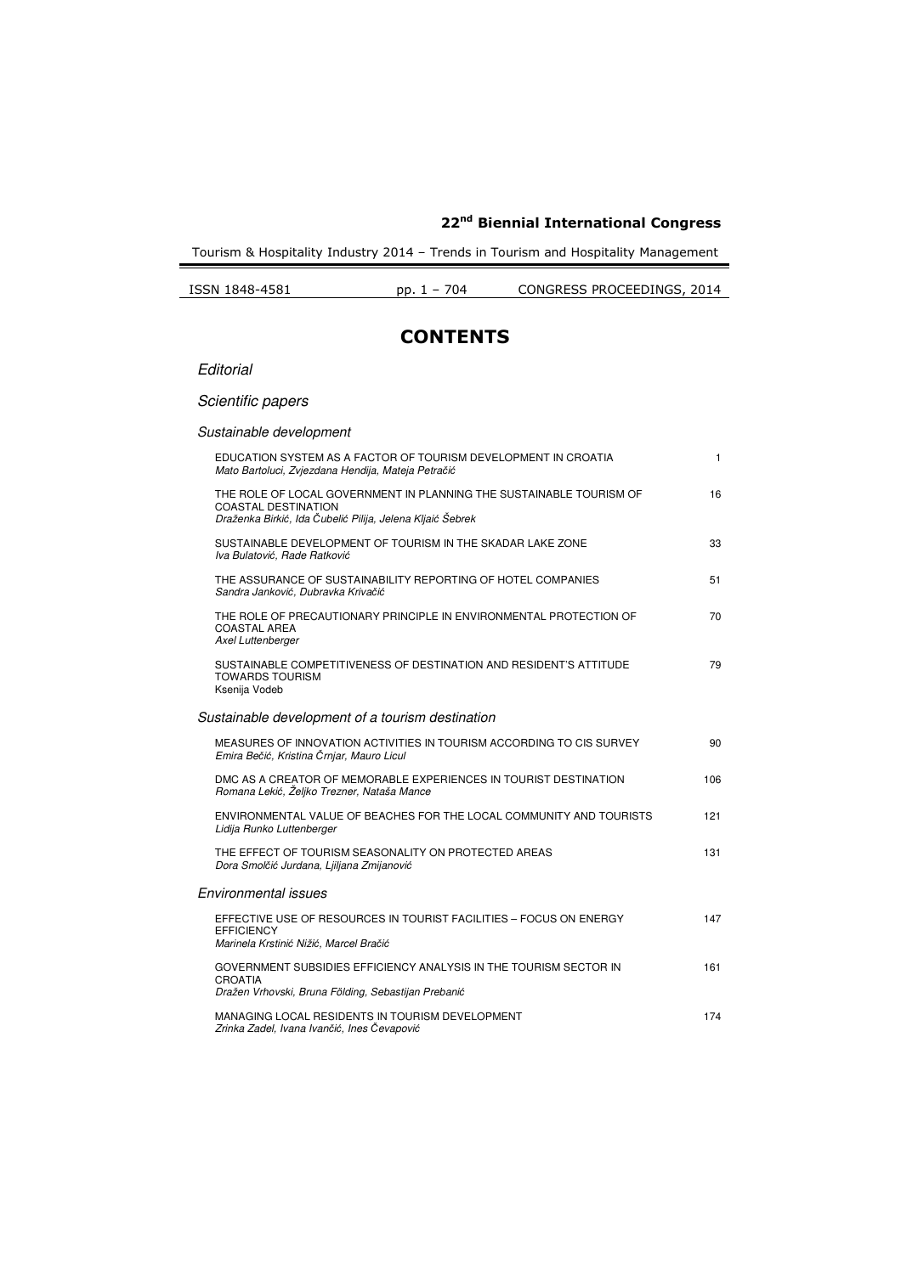Tourism & Hospitality Industry 2014 – Trends in Tourism and Hospitality Management

| ISSN 1848-4581 | $1 - 704$ | CONGRESS PROCEEDINGS, 2014 |
|----------------|-----------|----------------------------|
|                |           |                            |

## **CONTENTS**

#### **Editorial**

### Scientific papers

### Sustainable development

| EDUCATION SYSTEM AS A FACTOR OF TOURISM DEVELOPMENT IN CROATIA<br>Mato Bartoluci, Zvjezdana Hendija, Mateja Petračić                                           | $\mathbf{1}$ |
|----------------------------------------------------------------------------------------------------------------------------------------------------------------|--------------|
| THE ROLE OF LOCAL GOVERNMENT IN PLANNING THE SUSTAINABLE TOURISM OF<br><b>COASTAL DESTINATION</b><br>Draženka Birkić, Ida Čubelić Pilija, Jelena Kljaić Šebrek | 16           |
| SUSTAINABLE DEVELOPMENT OF TOURISM IN THE SKADAR LAKE ZONE<br>Iva Bulatović, Rade Ratković                                                                     | 33           |
| THE ASSURANCE OF SUSTAINABILITY REPORTING OF HOTEL COMPANIES<br>Sandra Janković, Dubravka Krivačić                                                             | 51           |
| THE ROLE OF PRECAUTIONARY PRINCIPLE IN ENVIRONMENTAL PROTECTION OF<br><b>COASTAL AREA</b><br>Axel Luttenberger                                                 | 70           |
| SUSTAINABLE COMPETITIVENESS OF DESTINATION AND RESIDENT'S ATTITUDE<br><b>TOWARDS TOURISM</b><br>Ksenija Vodeb                                                  | 79           |
| Sustainable development of a tourism destination                                                                                                               |              |
| MEASURES OF INNOVATION ACTIVITIES IN TOURISM ACCORDING TO CIS SURVEY<br>Emira Bečić, Kristina Črnjar, Mauro Licul                                              | 90           |
| DMC AS A CREATOR OF MEMORABLE EXPERIENCES IN TOURIST DESTINATION<br>Romana Lekić, Željko Trezner, Nataša Mance                                                 | 106          |
| ENVIRONMENTAL VALUE OF BEACHES FOR THE LOCAL COMMUNITY AND TOURISTS<br>Lidija Runko Luttenberger                                                               | 121          |
| THE EFFECT OF TOURISM SEASONALITY ON PROTECTED AREAS<br>Dora Smolčić Jurdana, Liiljana Zmijanović                                                              | 131          |
| Environmental issues                                                                                                                                           |              |
| EFFECTIVE USE OF RESOURCES IN TOURIST FACILITIES - FOCUS ON ENERGY<br><b>EFFICIENCY</b><br>Marinela Krstinić Nižić, Marcel Bračić                              | 147          |
| GOVERNMENT SUBSIDIES EFFICIENCY ANALYSIS IN THE TOURISM SECTOR IN<br><b>CROATIA</b><br>Dražen Vrhovski, Bruna Földing, Sebastijan Prebanić                     | 161          |
| MANAGING LOCAL RESIDENTS IN TOURISM DEVELOPMENT<br>Zrinka Zadel, Ivana Ivančić, Ines Čevapović                                                                 | 174          |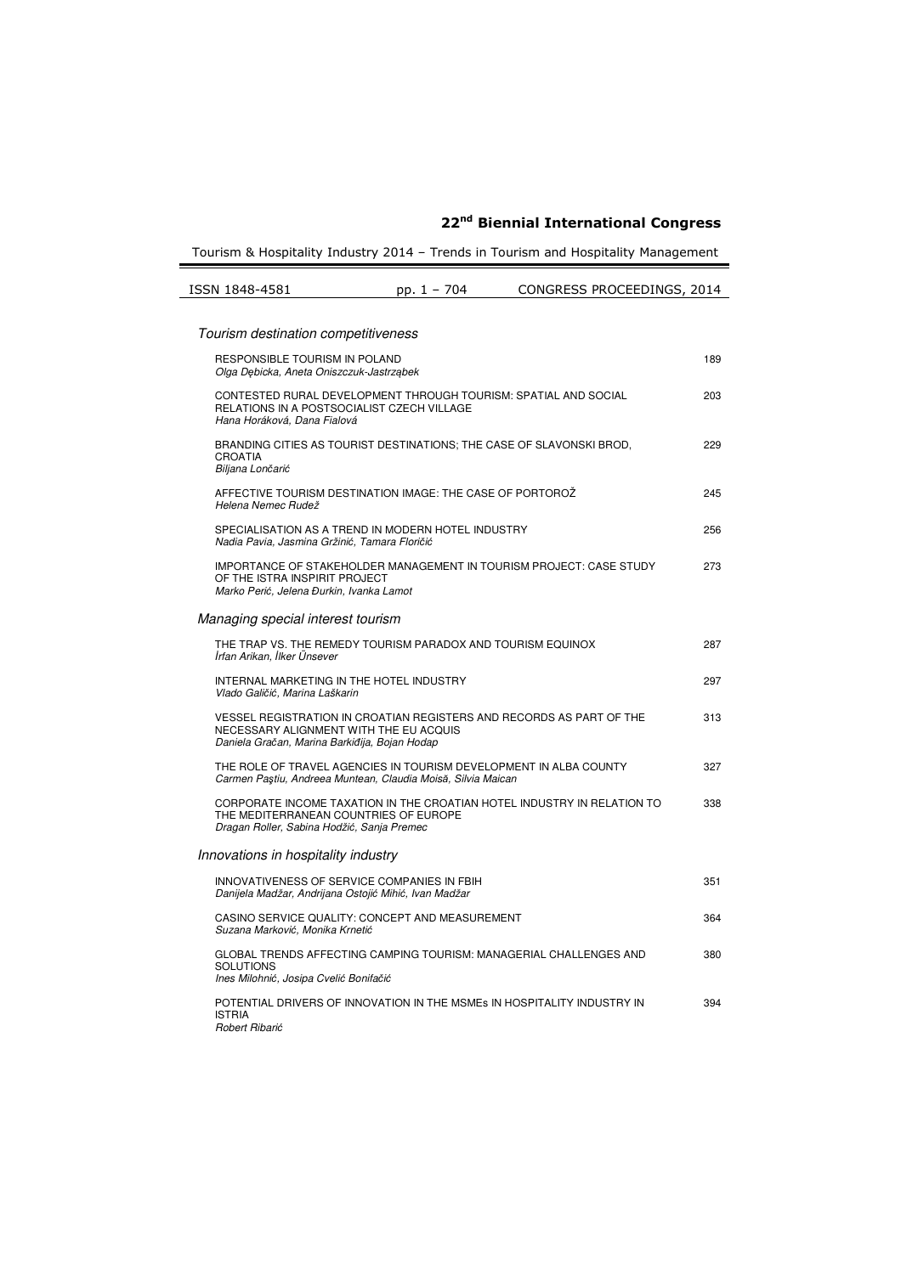Tourism & Hospitality Industry 2014 - Trends in Tourism and Hospitality Management

| ISSN 1848-4581                                                                                                                                                  | pp. 1 - 704 | CONGRESS PROCEEDINGS, 2014                                              |     |
|-----------------------------------------------------------------------------------------------------------------------------------------------------------------|-------------|-------------------------------------------------------------------------|-----|
|                                                                                                                                                                 |             |                                                                         |     |
| Tourism destination competitiveness                                                                                                                             |             |                                                                         |     |
| RESPONSIBLE TOURISM IN POLAND<br>Olga Debicka, Aneta Oniszczuk-Jastrzabek                                                                                       |             |                                                                         | 189 |
| CONTESTED RURAL DEVELOPMENT THROUGH TOURISM: SPATIAL AND SOCIAL<br>RELATIONS IN A POSTSOCIALIST CZECH VILLAGE<br>Hana Horáková, Dana Fialová                    |             |                                                                         | 203 |
| BRANDING CITIES AS TOURIST DESTINATIONS; THE CASE OF SLAVONSKI BROD,<br><b>CROATIA</b><br>Biljana Lončarić                                                      |             |                                                                         | 229 |
| AFFECTIVE TOURISM DESTINATION IMAGE: THE CASE OF PORTOROZ<br>Helena Nemec Rudež                                                                                 |             |                                                                         | 245 |
| SPECIALISATION AS A TREND IN MODERN HOTEL INDUSTRY<br>Nadia Pavia, Jasmina Gržinić, Tamara Floričić                                                             |             |                                                                         | 256 |
| OF THE ISTRA INSPIRIT PROJECT<br>Marko Perić, Jelena Đurkin, Ivanka Lamot                                                                                       |             | IMPORTANCE OF STAKEHOLDER MANAGEMENT IN TOURISM PROJECT: CASE STUDY     | 273 |
| Managing special interest tourism                                                                                                                               |             |                                                                         |     |
| THE TRAP VS. THE REMEDY TOURISM PARADOX AND TOURISM EQUINOX<br>İrfan Arikan, İlker Ünsever                                                                      |             |                                                                         | 287 |
| INTERNAL MARKETING IN THE HOTEL INDUSTRY<br>Vlado Galičić, Marina Laškarin                                                                                      |             |                                                                         | 297 |
| VESSEL REGISTRATION IN CROATIAN REGISTERS AND RECORDS AS PART OF THE<br>NECESSARY ALIGNMENT WITH THE EU ACQUIS<br>Daniela Gračan, Marina Barkiđija, Bojan Hodap |             |                                                                         | 313 |
| THE ROLE OF TRAVEL AGENCIES IN TOURISM DEVELOPMENT IN ALBA COUNTY<br>Carmen Paştiu, Andreea Muntean, Claudia Moisă, Silvia Maican                               |             |                                                                         | 327 |
| THE MEDITERRANEAN COUNTRIES OF EUROPE<br>Dragan Roller, Sabina Hodžić, Sanja Premec                                                                             |             | CORPORATE INCOME TAXATION IN THE CROATIAN HOTEL INDUSTRY IN RELATION TO | 338 |
| Innovations in hospitality industry                                                                                                                             |             |                                                                         |     |
| INNOVATIVENESS OF SERVICE COMPANIES IN FBIH<br>Danijela Madžar, Andrijana Ostojić Mihić, Ivan Madžar                                                            |             |                                                                         | 351 |
| CASINO SERVICE QUALITY: CONCEPT AND MEASUREMENT<br>Suzana Marković, Monika Krnetić                                                                              |             |                                                                         | 364 |
| GLOBAL TRENDS AFFECTING CAMPING TOURISM: MANAGERIAL CHALLENGES AND<br><b>SOLUTIONS</b><br>Ines Milohnić, Josipa Cvelić Bonifačić                                |             |                                                                         | 380 |
| POTENTIAL DRIVERS OF INNOVATION IN THE MSMES IN HOSPITALITY INDUSTRY IN<br><b>ISTRIA</b><br>Robert Ribarić                                                      |             |                                                                         | 394 |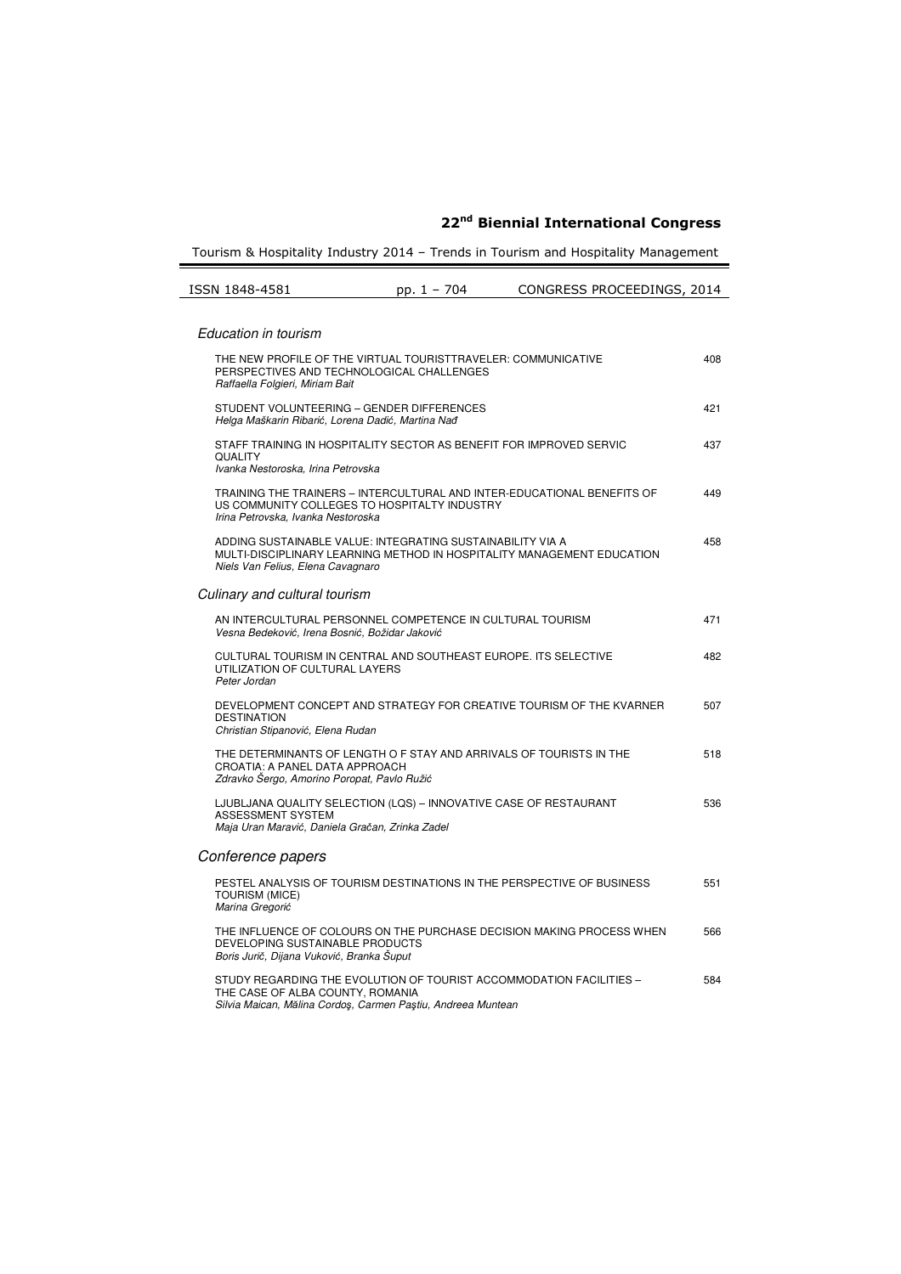Tourism & Hospitality Industry 2014 – Trends in Tourism and Hospitality Management

| ISSN 1848-4581 | pp. $1 - 704$ | CONGRESS PROCEEDINGS, 2014 |
|----------------|---------------|----------------------------|

#### Education in tourism THE NEW PROFILE OF THE VIRTUAL TOURISTTRAVELER: COMMUNICATIVE PERSPECTIVES AND TECHNOLOGICAL CHALLENGES Raffaella Folgieri, Miriam Bait 408 STUDENT VOLUNTEERING – GENDER DIFFERENCES Helga Maškarin Ribarić, Lorena Dadić, Martina Nađ 421 STAFF TRAINING IN HOSPITALITY SECTOR AS BENEFIT FOR IMPROVED SERVIC QUALITY Ivanka Nestoroska, Irina Petrovska 437 TRAINING THE TRAINERS – INTERCULTURAL AND INTER-EDUCATIONAL BENEFITS OF US COMMUNITY COLLEGES TO HOSPITALTY INDUSTRY Irina Petrovska, Ivanka Nestoroska 449 ADDING SUSTAINABLE VALUE: INTEGRATING SUSTAINABILITY VIA A MULTI-DISCIPLINARY LEARNING METHOD IN HOSPITALITY MANAGEMENT EDUCATION Niels Van Felius, Elena Cavagnaro 458 Culinary and cultural tourism AN INTERCULTURAL PERSONNEL COMPETENCE IN CULTURAL TOURISM Vesna Bedeković, Irena Bosnić, Božidar Jaković 471 CULTURAL TOURISM IN CENTRAL AND SOUTHEAST EUROPE. ITS SELECTIVE UTILIZATION OF CULTURAL LAYERS Peter Jordan 482 DEVELOPMENT CONCEPT AND STRATEGY FOR CREATIVE TOURISM OF THE KVARNER DESTINATION Christian Stipanović, Elena Rudan 507 THE DETERMINANTS OF LENGTH O F STAY AND ARRIVALS OF TOURISTS IN THE CROATIA: A PANEL DATA APPROACH Zdravko Šergo, Amorino Poropat, Pavlo Ružić 518 LJUBLJANA QUALITY SELECTION (LQS) – INNOVATIVE CASE OF RESTAURANT ASSESSMENT SYSTEM Maja Uran Maravić, Daniela Gračan, Zrinka Zadel 536 Conference papers PESTEL ANALYSIS OF TOURISM DESTINATIONS IN THE PERSPECTIVE OF BUSINESS TOURISM (MICE) Marina Gregorić 551 THE INFLUENCE OF COLOURS ON THE PURCHASE DECISION MAKING PROCESS WHEN DEVELOPING SUSTAINABLE PRODUCTS Boris Jurič, Dijana Vuković, Branka Šuput 566 STUDY REGARDING THE EVOLUTION OF TOURIST ACCOMMODATION FACILITIES – THE CASE OF ALBA COUNTY, ROMANIA Silvia Maican, Mălina Cordoş, Carmen Paştiu, Andreea Muntean 584